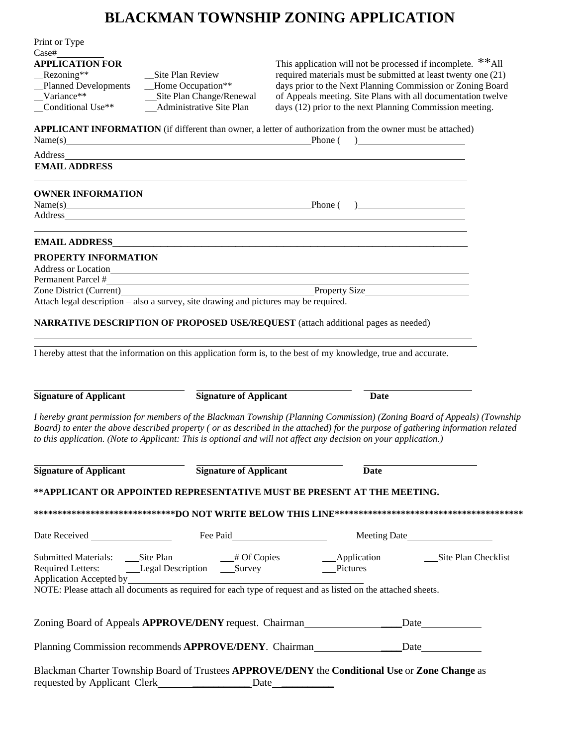# **BLACKMAN TOWNSHIP ZONING APPLICATION**

| Print or Type<br>$\text{Case} \#$                                                                                |                                                                                                                                                                                                                                                   |                             |                                                                                                                                                                                                                                                                                                                        |  |  |
|------------------------------------------------------------------------------------------------------------------|---------------------------------------------------------------------------------------------------------------------------------------------------------------------------------------------------------------------------------------------------|-----------------------------|------------------------------------------------------------------------------------------------------------------------------------------------------------------------------------------------------------------------------------------------------------------------------------------------------------------------|--|--|
| <b>APPLICATION FOR</b><br>$Resoning**$<br>Planned Developments<br>_Variance**<br>Variance**<br>Conditional Use** | __ Site Plan Review<br>$\_\$ Home Occupation**<br>__ Site Plan Change/Renewal<br>Administrative Site Plan                                                                                                                                         |                             | This application will not be processed if incomplete. **All<br>required materials must be submitted at least twenty one (21)<br>days prior to the Next Planning Commission or Zoning Board<br>of Appeals meeting. Site Plans with all documentation twelve<br>days (12) prior to the next Planning Commission meeting. |  |  |
|                                                                                                                  | <b>APPLICANT INFORMATION</b> (if different than owner, a letter of authorization from the owner must be attached)<br>Name(s) Phone ( $\qquad$ ) Phone ( $\qquad$ )                                                                                |                             |                                                                                                                                                                                                                                                                                                                        |  |  |
| Address                                                                                                          |                                                                                                                                                                                                                                                   |                             |                                                                                                                                                                                                                                                                                                                        |  |  |
| <b>EMAIL ADDRESS</b>                                                                                             |                                                                                                                                                                                                                                                   |                             |                                                                                                                                                                                                                                                                                                                        |  |  |
| <b>OWNER INFORMATION</b>                                                                                         | Name(s) Phone (<br>Address and the contract of the contract of the contract of the contract of the contract of the contract of the contract of the contract of the contract of the contract of the contract of the contract of the contract of th |                             | $\frac{1}{2}$ and $\frac{1}{2}$ and $\frac{1}{2}$ and $\frac{1}{2}$ and $\frac{1}{2}$ and $\frac{1}{2}$ and $\frac{1}{2}$ and $\frac{1}{2}$ and $\frac{1}{2}$ and $\frac{1}{2}$ and $\frac{1}{2}$ and $\frac{1}{2}$ and $\frac{1}{2}$ and $\frac{1}{2}$ and $\frac{1}{2}$ and $\frac{1}{2}$ a                          |  |  |
|                                                                                                                  | <b>EMAIL ADDRESS</b>                                                                                                                                                                                                                              |                             |                                                                                                                                                                                                                                                                                                                        |  |  |
| PROPERTY INFORMATION                                                                                             | Address or Location entry and the contract of the contract of the contract of the contract of the contract of the contract of the contract of the contract of the contract of the contract of the contract of the contract of                     |                             |                                                                                                                                                                                                                                                                                                                        |  |  |
|                                                                                                                  |                                                                                                                                                                                                                                                   |                             |                                                                                                                                                                                                                                                                                                                        |  |  |
|                                                                                                                  | Attach legal description $-$ also a survey, site drawing and pictures may be required.                                                                                                                                                            |                             |                                                                                                                                                                                                                                                                                                                        |  |  |
|                                                                                                                  | <b>NARRATIVE DESCRIPTION OF PROPOSED USE/REQUEST</b> (attach additional pages as needed)                                                                                                                                                          |                             |                                                                                                                                                                                                                                                                                                                        |  |  |
| <b>Signature of Applicant</b>                                                                                    | I hereby attest that the information on this application form is, to the best of my knowledge, true and accurate.<br><b>Signature of Applicant</b>                                                                                                |                             | Date                                                                                                                                                                                                                                                                                                                   |  |  |
|                                                                                                                  | to this application. (Note to Applicant: This is optional and will not affect any decision on your application.)                                                                                                                                  |                             | I hereby grant permission for members of the Blackman Township (Planning Commission) (Zoning Board of Appeals) (Township<br>Board) to enter the above described property (or as described in the attached) for the purpose of gathering information related                                                            |  |  |
| <b>Signature of Applicant</b>                                                                                    | <b>Signature of Applicant</b>                                                                                                                                                                                                                     | Date                        |                                                                                                                                                                                                                                                                                                                        |  |  |
|                                                                                                                  | ** APPLICANT OR APPOINTED REPRESENTATIVE MUST BE PRESENT AT THE MEETING.                                                                                                                                                                          |                             |                                                                                                                                                                                                                                                                                                                        |  |  |
|                                                                                                                  |                                                                                                                                                                                                                                                   |                             |                                                                                                                                                                                                                                                                                                                        |  |  |
|                                                                                                                  |                                                                                                                                                                                                                                                   | Fee Paid<br><u>Fee Paid</u> |                                                                                                                                                                                                                                                                                                                        |  |  |
|                                                                                                                  | Application Accepted by<br>NOTE: Please attach all documents as required for each type of request and as listed on the attached sheets.                                                                                                           |                             | Application Site Plan Checklist                                                                                                                                                                                                                                                                                        |  |  |
|                                                                                                                  |                                                                                                                                                                                                                                                   |                             |                                                                                                                                                                                                                                                                                                                        |  |  |
|                                                                                                                  | Planning Commission recommends APPROVE/DENY. Chairman Letter Letter Letter Letter Letter Letter Letter Letter Letter Letter Letter Letter Letter Letter Letter Letter Letter Letter Letter Letter Letter Letter Letter Letter                     |                             |                                                                                                                                                                                                                                                                                                                        |  |  |
|                                                                                                                  | Blackman Charter Township Board of Trustees APPROVE/DENY the Conditional Use or Zone Change as                                                                                                                                                    |                             |                                                                                                                                                                                                                                                                                                                        |  |  |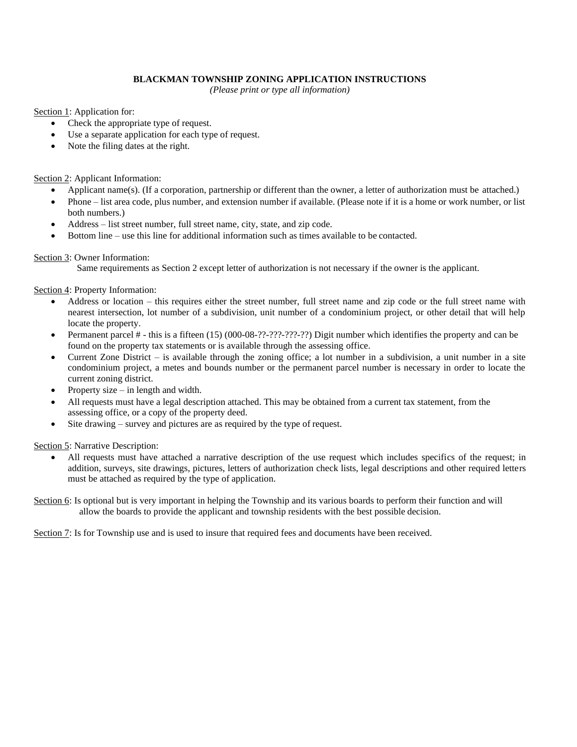### **BLACKMAN TOWNSHIP ZONING APPLICATION INSTRUCTIONS**

*(Please print or type all information)*

Section 1: Application for:

- Check the appropriate type of request.
- Use a separate application for each type of request.
- Note the filing dates at the right.

Section 2: Applicant Information:

- Applicant name(s). (If a corporation, partnership or different than the owner, a letter of authorization must be attached.)
- both numbers.) • Phone – list area code, plus number, and extension number if available. (Please note if it is a home or work number, or list
- Address list street number, full street name, city, state, and zip code.
- Bottom line use this line for additional information such as times available to be contacted.

#### Section 3: Owner Information:

Same requirements as Section 2 except letter of authorization is not necessary if the owner is the applicant.

Section 4: Property Information:

- Address or location this requires either the street number, full street name and zip code or the full street name with nearest intersection, lot number of a subdivision, unit number of a condominium project, or other detail that will help locate the property.
- Permanent parcel # this is a fifteen (15) (000-08-??-???-???-??) Digit number which identifies the property and can be found on the property tax statements or is available through the assessing office.
- Current Zone District is available through the zoning office; a lot number in a subdivision, a unit number in a site condominium project, a metes and bounds number or the permanent parcel number is necessary in order to locate the current zoning district.
- Property size in length and width.
- All requests must have a legal description attached. This may be obtained from a current tax statement, from the assessing office, or a copy of the property deed.
- Site drawing survey and pictures are as required by the type of request.

Section 5: Narrative Description:

• All requests must have attached a narrative description of the use request which includes specifics of the request; in addition, surveys, site drawings, pictures, letters of authorization check lists, legal descriptions and other required letters must be attached as required by the type of application.

Section 6: Is optional but is very important in helping the Township and its various boards to perform their function and will allow the boards to provide the applicant and township residents with the best possible decision.

Section 7: Is for Township use and is used to insure that required fees and documents have been received.